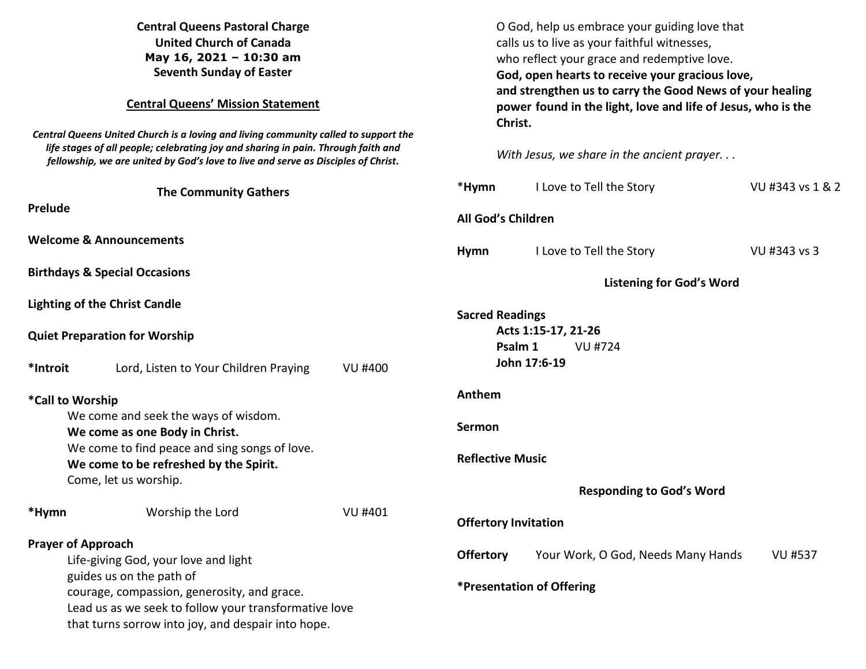| <b>Central Queens Pastoral Charge</b><br><b>United Church of Canada</b><br>May 16, 2021 - 10:30 am<br><b>Seventh Sunday of Easter</b><br><b>Central Queens' Mission Statement</b><br>Central Queens United Church is a loving and living community called to support the<br>life stages of all people; celebrating joy and sharing in pain. Through faith and<br>fellowship, we are united by God's love to live and serve as Disciples of Christ. |                                                       |                | O God, help us embrace your guiding love that<br>calls us to live as your faithful witnesses,<br>who reflect your grace and redemptive love.<br>God, open hearts to receive your gracious love,<br>and strengthen us to carry the Good News of your healing<br>power found in the light, love and life of Jesus, who is the<br>Christ.<br>With Jesus, we share in the ancient prayer |                                    |                  |
|----------------------------------------------------------------------------------------------------------------------------------------------------------------------------------------------------------------------------------------------------------------------------------------------------------------------------------------------------------------------------------------------------------------------------------------------------|-------------------------------------------------------|----------------|--------------------------------------------------------------------------------------------------------------------------------------------------------------------------------------------------------------------------------------------------------------------------------------------------------------------------------------------------------------------------------------|------------------------------------|------------------|
| <b>The Community Gathers</b>                                                                                                                                                                                                                                                                                                                                                                                                                       |                                                       |                | *Hymn                                                                                                                                                                                                                                                                                                                                                                                | I Love to Tell the Story           | VU #343 vs 1 & 2 |
| Prelude                                                                                                                                                                                                                                                                                                                                                                                                                                            |                                                       |                | <b>All God's Children</b>                                                                                                                                                                                                                                                                                                                                                            |                                    |                  |
|                                                                                                                                                                                                                                                                                                                                                                                                                                                    | <b>Welcome &amp; Announcements</b>                    |                | <b>Hymn</b>                                                                                                                                                                                                                                                                                                                                                                          | I Love to Tell the Story           | VU #343 vs 3     |
| <b>Birthdays &amp; Special Occasions</b>                                                                                                                                                                                                                                                                                                                                                                                                           |                                                       |                | <b>Listening for God's Word</b>                                                                                                                                                                                                                                                                                                                                                      |                                    |                  |
|                                                                                                                                                                                                                                                                                                                                                                                                                                                    | <b>Lighting of the Christ Candle</b>                  |                | <b>Sacred Readings</b>                                                                                                                                                                                                                                                                                                                                                               |                                    |                  |
| <b>Quiet Preparation for Worship</b>                                                                                                                                                                                                                                                                                                                                                                                                               |                                                       |                | Acts 1:15-17, 21-26<br>Psalm 1<br>VU #724                                                                                                                                                                                                                                                                                                                                            |                                    |                  |
| *Introit                                                                                                                                                                                                                                                                                                                                                                                                                                           | Lord, Listen to Your Children Praying                 | <b>VU #400</b> | John 17:6-19                                                                                                                                                                                                                                                                                                                                                                         |                                    |                  |
| *Call to Worship                                                                                                                                                                                                                                                                                                                                                                                                                                   |                                                       |                | Anthem                                                                                                                                                                                                                                                                                                                                                                               |                                    |                  |
| We come and seek the ways of wisdom.<br>We come as one Body in Christ.                                                                                                                                                                                                                                                                                                                                                                             |                                                       |                | Sermon                                                                                                                                                                                                                                                                                                                                                                               |                                    |                  |
| We come to find peace and sing songs of love.<br>We come to be refreshed by the Spirit.                                                                                                                                                                                                                                                                                                                                                            |                                                       |                | <b>Reflective Music</b>                                                                                                                                                                                                                                                                                                                                                              |                                    |                  |
|                                                                                                                                                                                                                                                                                                                                                                                                                                                    | Come, let us worship.                                 |                |                                                                                                                                                                                                                                                                                                                                                                                      | <b>Responding to God's Word</b>    |                  |
| *Hymn                                                                                                                                                                                                                                                                                                                                                                                                                                              | Worship the Lord                                      | <b>VU #401</b> | <b>Offertory Invitation</b>                                                                                                                                                                                                                                                                                                                                                          |                                    |                  |
| <b>Prayer of Approach</b>                                                                                                                                                                                                                                                                                                                                                                                                                          |                                                       |                | <b>Offertory</b>                                                                                                                                                                                                                                                                                                                                                                     | Your Work, O God, Needs Many Hands | <b>VU #537</b>   |
| Life-giving God, your love and light<br>guides us on the path of                                                                                                                                                                                                                                                                                                                                                                                   |                                                       |                |                                                                                                                                                                                                                                                                                                                                                                                      |                                    |                  |
|                                                                                                                                                                                                                                                                                                                                                                                                                                                    | courage, compassion, generosity, and grace.           |                | *Presentation of Offering                                                                                                                                                                                                                                                                                                                                                            |                                    |                  |
|                                                                                                                                                                                                                                                                                                                                                                                                                                                    | Lead us as we seek to follow your transformative love |                |                                                                                                                                                                                                                                                                                                                                                                                      |                                    |                  |
|                                                                                                                                                                                                                                                                                                                                                                                                                                                    | that turns sorrow into joy, and despair into hope.    |                |                                                                                                                                                                                                                                                                                                                                                                                      |                                    |                  |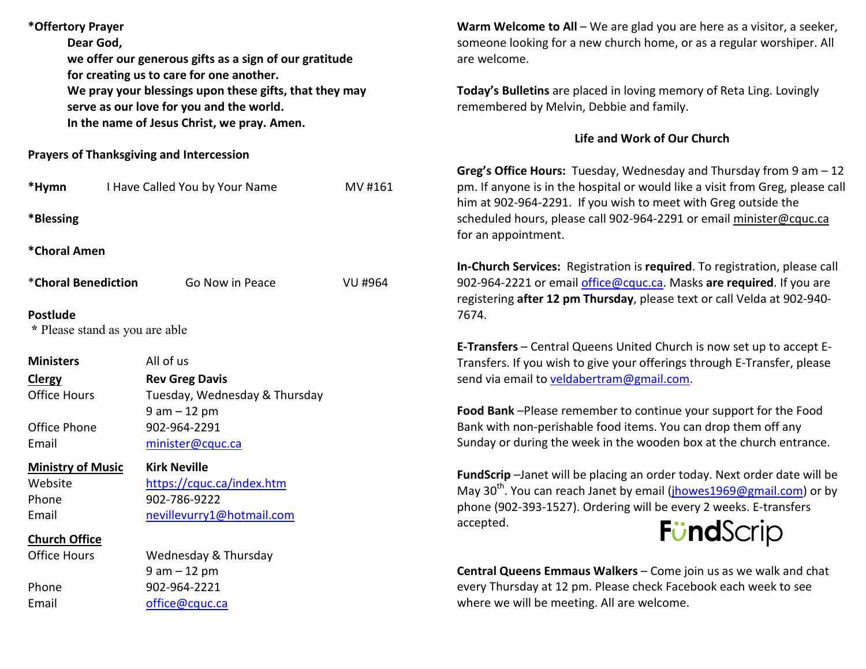| *Offertory Prayer<br>Dear God,                       | we offer our generous gifts as a sign of our gratitude<br>for creating us to care for one another.                                                |                | Warm Welcome to All $-$ We are glad you are here as a visitor, a seeker,<br>someone looking for a new church home, or as a regular worshiper. All<br>are welcome.<br>Today's Bulletins are placed in loving memory of Reta Ling. Lovingly<br>remembered by Melvin, Debbie and family. |  |  |
|------------------------------------------------------|---------------------------------------------------------------------------------------------------------------------------------------------------|----------------|---------------------------------------------------------------------------------------------------------------------------------------------------------------------------------------------------------------------------------------------------------------------------------------|--|--|
|                                                      | We pray your blessings upon these gifts, that they may<br>serve as our love for you and the world.<br>In the name of Jesus Christ, we pray. Amen. |                |                                                                                                                                                                                                                                                                                       |  |  |
|                                                      |                                                                                                                                                   |                | Life and Work of Our Church                                                                                                                                                                                                                                                           |  |  |
|                                                      | <b>Prayers of Thanksgiving and Intercession</b>                                                                                                   |                |                                                                                                                                                                                                                                                                                       |  |  |
| I Have Called You by Your Name<br>MV #161<br>*Hymn   |                                                                                                                                                   |                | Greg's Office Hours: Tuesday, Wednesday and Thursday from 9 am - 12<br>pm. If anyone is in the hospital or would like a visit from Greg, please call<br>him at 902-964-2291. If you wish to meet with Greg outside the                                                                |  |  |
| *Blessing                                            |                                                                                                                                                   |                | scheduled hours, please call 902-964-2291 or email minister@cquc.ca<br>for an appointment.                                                                                                                                                                                            |  |  |
| *Choral Amen                                         |                                                                                                                                                   |                |                                                                                                                                                                                                                                                                                       |  |  |
| <i><b>*Choral Benediction</b></i><br>Go Now in Peace |                                                                                                                                                   | <b>VU #964</b> | In-Church Services: Registration is required. To registration, please call<br>902-964-2221 or email office@cquc.ca. Masks are required. If you are<br>registering after 12 pm Thursday, please text or call Velda at 902-940-                                                         |  |  |
| <b>Postlude</b>                                      |                                                                                                                                                   |                | 7674.                                                                                                                                                                                                                                                                                 |  |  |
| * Please stand as you are able                       |                                                                                                                                                   |                |                                                                                                                                                                                                                                                                                       |  |  |
| <b>Ministers</b>                                     | All of us                                                                                                                                         |                | E-Transfers - Central Queens United Church is now set up to accept E-                                                                                                                                                                                                                 |  |  |
| <b>Clergy</b>                                        | <b>Rev Greg Davis</b>                                                                                                                             |                | Transfers. If you wish to give your offerings through E-Transfer, please<br>send via email to veldabertram@gmail.com.                                                                                                                                                                 |  |  |
| <b>Office Hours</b>                                  | Tuesday, Wednesday & Thursday                                                                                                                     |                |                                                                                                                                                                                                                                                                                       |  |  |
|                                                      | $9 am - 12 pm$                                                                                                                                    |                | Food Bank-Please remember to continue your support for the Food                                                                                                                                                                                                                       |  |  |
| Office Phone                                         | 902-964-2291                                                                                                                                      |                | Bank with non-perishable food items. You can drop them off any                                                                                                                                                                                                                        |  |  |
| Email                                                | minister@cquc.ca                                                                                                                                  |                | Sunday or during the week in the wooden box at the church entrance.                                                                                                                                                                                                                   |  |  |
| <b>Ministry of Music</b>                             | <b>Kirk Neville</b>                                                                                                                               |                | FundScrip-Janet will be placing an order today. Next order date will be                                                                                                                                                                                                               |  |  |
| Website                                              | https://cquc.ca/index.htm                                                                                                                         |                | May 30 <sup>th</sup> . You can reach Janet by email ( <i>jhowes1969@gmail.com</i> ) or by                                                                                                                                                                                             |  |  |
| Phone                                                | 902-786-9222                                                                                                                                      |                | phone (902-393-1527). Ordering will be every 2 weeks. E-transfers                                                                                                                                                                                                                     |  |  |
| Email                                                | nevillevurry1@hotmail.com                                                                                                                         |                | accepted.                                                                                                                                                                                                                                                                             |  |  |
| <b>Church Office</b>                                 |                                                                                                                                                   |                | <b>FündScrip</b>                                                                                                                                                                                                                                                                      |  |  |
| <b>Office Hours</b><br>Wednesday & Thursday          |                                                                                                                                                   |                |                                                                                                                                                                                                                                                                                       |  |  |
|                                                      | $9 am - 12 pm$                                                                                                                                    |                | Central Queens Emmaus Walkers - Come join us as we walk and chat                                                                                                                                                                                                                      |  |  |
| Phone                                                | 902-964-2221                                                                                                                                      |                | every Thursday at 12 pm. Please check Facebook each week to see                                                                                                                                                                                                                       |  |  |
| Email                                                | office@cquc.ca                                                                                                                                    |                | where we will be meeting. All are welcome.                                                                                                                                                                                                                                            |  |  |